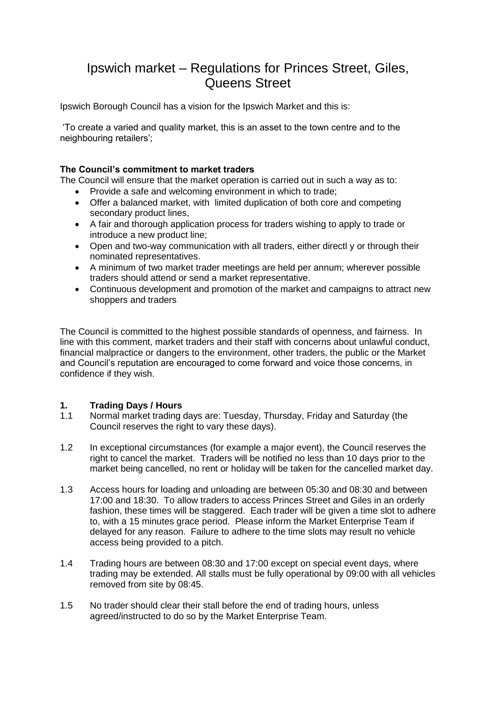# Ipswich market – Regulations for Princes Street, Giles, Queens Street

Ipswich Borough Council has a vision for the Ipswich Market and this is:

'To create a varied and quality market, this is an asset to the town centre and to the neighbouring retailers';

# **The Council's commitment to market traders**

The Council will ensure that the market operation is carried out in such a way as to:

- Provide a safe and welcoming environment in which to trade;
- Offer a balanced market, with limited duplication of both core and competing secondary product lines,
- A fair and thorough application process for traders wishing to apply to trade or introduce a new product line;
- Open and two-way communication with all traders, either directl y or through their nominated representatives.
- A minimum of two market trader meetings are held per annum; wherever possible traders should attend or send a market representative.
- Continuous development and promotion of the market and campaigns to attract new shoppers and traders

The Council is committed to the highest possible standards of openness, and fairness. In line with this comment, market traders and their staff with concerns about unlawful conduct, financial malpractice or dangers to the environment, other traders, the public or the Market and Council's reputation are encouraged to come forward and voice those concerns, in confidence if they wish.

# **1. Trading Days / Hours**

- Normal market trading days are: Tuesday, Thursday, Friday and Saturday (the Council reserves the right to vary these days).
- 1.2 In exceptional circumstances (for example a major event), the Council reserves the right to cancel the market. Traders will be notified no less than 10 days prior to the market being cancelled, no rent or holiday will be taken for the cancelled market day.
- 1.3 Access hours for loading and unloading are between 05:30 and 08:30 and between 17:00 and 18:30. To allow traders to access Princes Street and Giles in an orderly fashion, these times will be staggered. Each trader will be given a time slot to adhere to, with a 15 minutes grace period. Please inform the Market Enterprise Team if delayed for any reason. Failure to adhere to the time slots may result no vehicle access being provided to a pitch.
- 1.4 Trading hours are between 08:30 and 17:00 except on special event days, where trading may be extended. All stalls must be fully operational by 09:00 with all vehicles removed from site by 08:45.
- 1.5 No trader should clear their stall before the end of trading hours, unless agreed/instructed to do so by the Market Enterprise Team.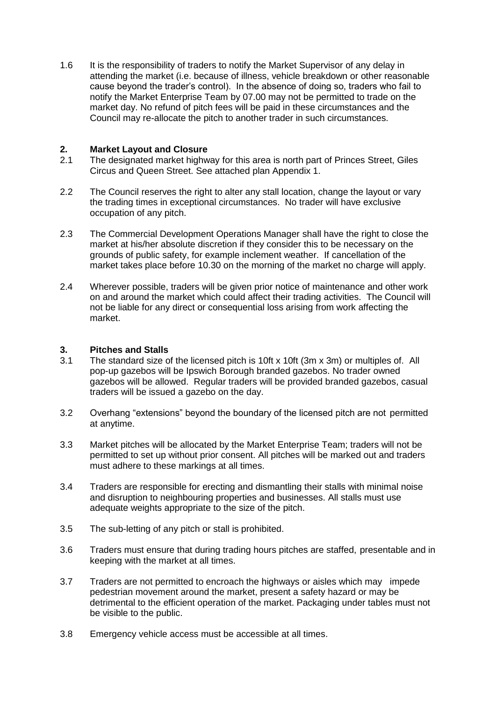1.6 It is the responsibility of traders to notify the Market Supervisor of any delay in attending the market (i.e. because of illness, vehicle breakdown or other reasonable cause beyond the trader's control). In the absence of doing so, traders who fail to notify the Market Enterprise Team by 07.00 may not be permitted to trade on the market day. No refund of pitch fees will be paid in these circumstances and the Council may re-allocate the pitch to another trader in such circumstances.

# **2. Market Layout and Closure**

- 2.1 The designated market highway for this area is north part of Princes Street, Giles Circus and Queen Street. See attached plan Appendix 1.
- 2.2 The Council reserves the right to alter any stall location, change the layout or vary the trading times in exceptional circumstances. No trader will have exclusive occupation of any pitch.
- 2.3 The Commercial Development Operations Manager shall have the right to close the market at his/her absolute discretion if they consider this to be necessary on the grounds of public safety, for example inclement weather. If cancellation of the market takes place before 10.30 on the morning of the market no charge will apply.
- 2.4 Wherever possible, traders will be given prior notice of maintenance and other work on and around the market which could affect their trading activities. The Council will not be liable for any direct or consequential loss arising from work affecting the market.

# **3. Pitches and Stalls**

- 3.1 The standard size of the licensed pitch is 10ft x 10ft (3m x 3m) or multiples of. All pop-up gazebos will be Ipswich Borough branded gazebos. No trader owned gazebos will be allowed. Regular traders will be provided branded gazebos, casual traders will be issued a gazebo on the day.
- 3.2 Overhang "extensions" beyond the boundary of the licensed pitch are not permitted at anytime.
- 3.3 Market pitches will be allocated by the Market Enterprise Team; traders will not be permitted to set up without prior consent. All pitches will be marked out and traders must adhere to these markings at all times.
- 3.4 Traders are responsible for erecting and dismantling their stalls with minimal noise and disruption to neighbouring properties and businesses. All stalls must use adequate weights appropriate to the size of the pitch.
- 3.5 The sub-letting of any pitch or stall is prohibited.
- 3.6 Traders must ensure that during trading hours pitches are staffed, presentable and in keeping with the market at all times.
- 3.7 Traders are not permitted to encroach the highways or aisles which may impede pedestrian movement around the market, present a safety hazard or may be detrimental to the efficient operation of the market. Packaging under tables must not be visible to the public.
- 3.8 Emergency vehicle access must be accessible at all times.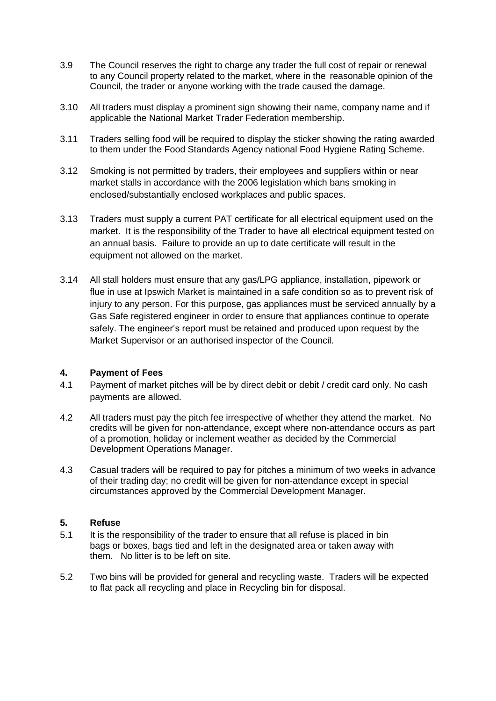- 3.9 The Council reserves the right to charge any trader the full cost of repair or renewal to any Council property related to the market, where in the reasonable opinion of the Council, the trader or anyone working with the trade caused the damage.
- 3.10 All traders must display a prominent sign showing their name, company name and if applicable the National Market Trader Federation membership.
- 3.11 Traders selling food will be required to display the sticker showing the rating awarded to them under the Food Standards Agency national Food Hygiene Rating Scheme.
- 3.12 Smoking is not permitted by traders, their employees and suppliers within or near market stalls in accordance with the 2006 legislation which bans smoking in enclosed/substantially enclosed workplaces and public spaces.
- 3.13 Traders must supply a current PAT certificate for all electrical equipment used on the market. It is the responsibility of the Trader to have all electrical equipment tested on an annual basis. Failure to provide an up to date certificate will result in the equipment not allowed on the market.
- 3.14 All stall holders must ensure that any gas/LPG appliance, installation, pipework or flue in use at Ipswich Market is maintained in a safe condition so as to prevent risk of injury to any person. For this purpose, gas appliances must be serviced annually by a Gas Safe registered engineer in order to ensure that appliances continue to operate safely. The engineer's report must be retained and produced upon request by the Market Supervisor or an authorised inspector of the Council.

# **4. Payment of Fees**

- 4.1 Payment of market pitches will be by direct debit or debit / credit card only. No cash payments are allowed.
- 4.2 All traders must pay the pitch fee irrespective of whether they attend the market. No credits will be given for non-attendance, except where non-attendance occurs as part of a promotion, holiday or inclement weather as decided by the Commercial Development Operations Manager.
- 4.3 Casual traders will be required to pay for pitches a minimum of two weeks in advance of their trading day; no credit will be given for non-attendance except in special circumstances approved by the Commercial Development Manager.

#### **5. Refuse**

- 5.1 It is the responsibility of the trader to ensure that all refuse is placed in bin bags or boxes, bags tied and left in the designated area or taken away with them. No litter is to be left on site.
- 5.2 Two bins will be provided for general and recycling waste. Traders will be expected to flat pack all recycling and place in Recycling bin for disposal.